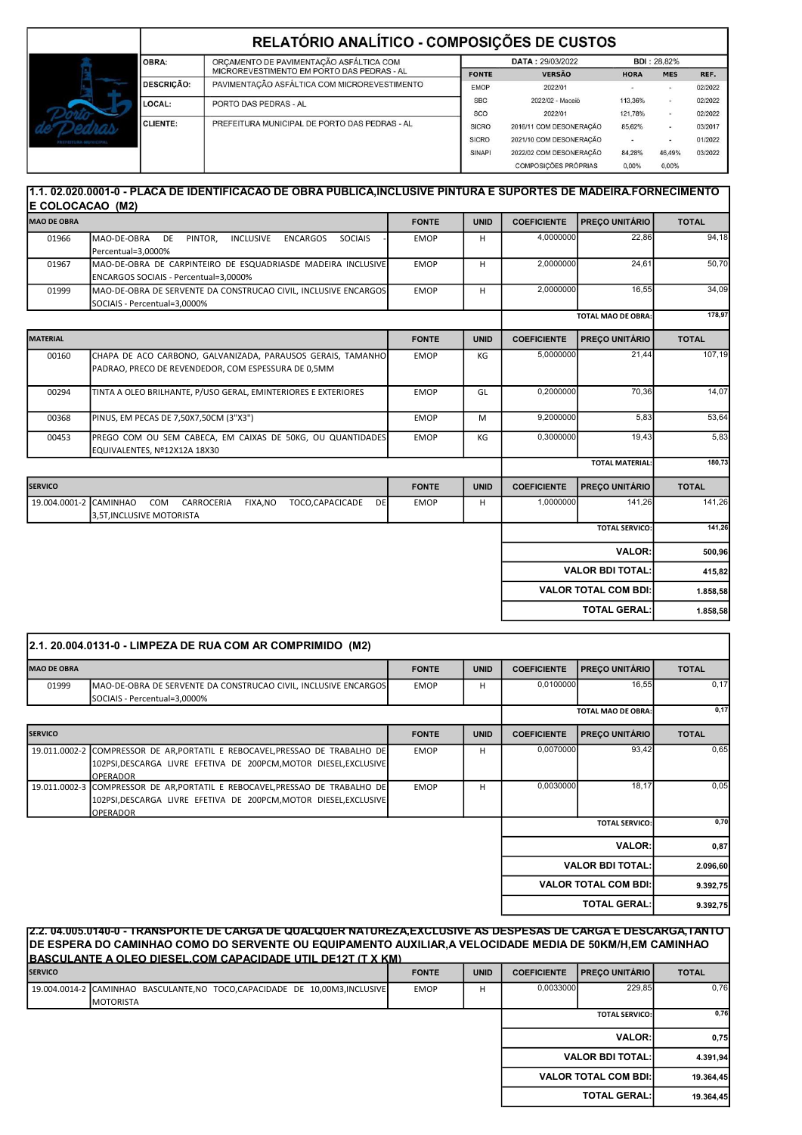|                      |                                                         | RELATÓRIO ANALÍTICO - COMPOSIÇÕES DE CUSTOS   |                  |                             |             |                          |         |  |
|----------------------|---------------------------------------------------------|-----------------------------------------------|------------------|-----------------------------|-------------|--------------------------|---------|--|
|                      | ORÇAMENTO DE PAVIMENTAÇÃO ASFÁLTICA COM<br><b>OBRA:</b> |                                               | DATA: 29/03/2022 |                             |             | <b>BDI: 28.82%</b>       |         |  |
| PREFEITURA MONICIPAL |                                                         | MICROREVESTIMENTO EM PORTO DAS PEDRAS - AL    | <b>FONTE</b>     | <b>VERSÃO</b>               | <b>HORA</b> | <b>MES</b>               | REF.    |  |
|                      | <b>DESCRICÃO:</b>                                       | PAVIMENTACÃO ASFÁLTICA COM MICROREVESTIMENTO  | <b>EMOP</b>      | 2022/01                     |             |                          | 02/2022 |  |
|                      | LOCAL:<br>PORTO DAS PEDRAS - AL                         | <b>SBC</b>                                    | 2022/02 - Maceió | 113.36%                     |             | 02/2022                  |         |  |
|                      |                                                         | SCO                                           | 2022/01          | 121,78%                     |             | 02/2022                  |         |  |
|                      | <b>CLIENTE:</b>                                         | PREFEITURA MUNICIPAL DE PORTO DAS PEDRAS - AL | <b>SICRO</b>     | 2016/11 COM DESONERAÇÃO     | 85,62%      | $\overline{\phantom{a}}$ | 03/2017 |  |
|                      |                                                         |                                               | <b>SICRO</b>     | 2021/10 COM DESONERAÇÃO     |             |                          | 01/2022 |  |
|                      |                                                         |                                               | <b>SINAPI</b>    | 2022/02 COM DESONERAÇÃO     | 84,28%      | 46,49%                   | 03/2022 |  |
|                      |                                                         |                                               |                  | <b>COMPOSICÕES PRÓPRIAS</b> | 0.00%       | 0.00%                    |         |  |

## 1.1. 02.020.0001-0 - PLACA DE IDENTIFICACAO DE OBRA PUBLICA,INCLUSIVE PINTURA E SUPORTES DE MADEIRA.FORNECIMENTO E COLOCACAO (M2)

| <b>MAO DE OBRA</b>     |                                                                                                                    | <b>FONTE</b> | <b>UNID</b> | <b>COEFICIENTE</b>     | PREÇO UNITÁRIO              | <b>TOTAL</b> |
|------------------------|--------------------------------------------------------------------------------------------------------------------|--------------|-------------|------------------------|-----------------------------|--------------|
| 01966                  | MAO-DE-OBRA<br>PINTOR,<br><b>INCLUSIVE</b><br>DE<br><b>ENCARGOS</b><br><b>SOCIAIS</b><br>Percentual=3,0000%        | <b>EMOP</b>  | н           | 4,0000000              | 22,86                       | 94,18        |
| 01967                  | MAO-DE-OBRA DE CARPINTEIRO DE ESQUADRIASDE MADEIRA INCLUSIVE<br>ENCARGOS SOCIAIS - Percentual=3,0000%              | <b>EMOP</b>  | H           | 2,0000000              | 24,61                       | 50,70        |
| 01999                  | MAO-DE-OBRA DE SERVENTE DA CONSTRUCAO CIVIL, INCLUSIVE ENCARGOS<br>SOCIAIS - Percentual=3,0000%                    | <b>EMOP</b>  | H           | 2,0000000              | 16.55                       | 34,09        |
|                        |                                                                                                                    |              |             |                        | <b>TOTAL MAO DE OBRA:</b>   | 178,97       |
| MATERIAL               |                                                                                                                    | <b>FONTE</b> | <b>UNID</b> | <b>COEFICIENTE</b>     | PREÇO UNITÁRIO              | <b>TOTAL</b> |
| 00160                  | CHAPA DE ACO CARBONO, GALVANIZADA, PARAUSOS GERAIS, TAMANHO<br>PADRAO, PRECO DE REVENDEDOR, COM ESPESSURA DE 0,5MM | <b>EMOP</b>  | KG          | 5,0000000              | 21,44                       | 107,19       |
| 00294                  | TINTA A OLEO BRILHANTE, P/USO GERAL, EMINTERIORES E EXTERIORES                                                     | <b>EMOP</b>  | GL          | 0,2000000              | 70,36                       | 14,07        |
| 00368                  | PINUS, EM PECAS DE 7,50X7,50CM (3"X3")                                                                             | <b>EMOP</b>  | M           | 9,2000000              | 5,83                        | 53,64        |
| 00453                  | PREGO COM OU SEM CABECA, EM CAIXAS DE 50KG, OU QUANTIDADES<br>EQUIVALENTES, Nº12X12A 18X30                         | <b>EMOP</b>  | KG          | 0,3000000              | 19,43                       | 5,83         |
|                        |                                                                                                                    |              |             | <b>TOTAL MATERIAL:</b> |                             | 180,73       |
| <b>SERVICO</b>         |                                                                                                                    | <b>FONTE</b> | <b>UNID</b> | <b>COEFICIENTE</b>     | <b>PREÇO UNITÁRIO</b>       | <b>TOTAL</b> |
| 19.004.0001-2 CAMINHAO | <b>COM</b><br>CARROCERIA<br>FIXA, NO<br>TOCO,CAPACICADE<br><b>DE</b><br>3,5T, INCLUSIVE MOTORISTA                  | <b>EMOP</b>  | н           | 1,0000000              | 141,26                      | 141,26       |
|                        |                                                                                                                    |              |             |                        | <b>TOTAL SERVICO:</b>       | 141,26       |
|                        |                                                                                                                    |              |             |                        | <b>VALOR:</b>               | 500,96       |
|                        |                                                                                                                    |              |             |                        | <b>VALOR BDI TOTAL:</b>     | 415,82       |
|                        |                                                                                                                    |              |             |                        | <b>VALOR TOTAL COM BDI:</b> | 1.858,58     |
|                        |                                                                                                                    |              |             |                        | <b>TOTAL GERAL:</b>         | 1.858,58     |

| 2.1. 20.004.0131-0 - LIMPEZA DE RUA COM AR COMPRIMIDO (M2) |                                                                                                                                                                      |              |             |                             |                       |              |  |
|------------------------------------------------------------|----------------------------------------------------------------------------------------------------------------------------------------------------------------------|--------------|-------------|-----------------------------|-----------------------|--------------|--|
| <b>MAO DE OBRA</b>                                         |                                                                                                                                                                      | <b>FONTE</b> | <b>UNID</b> | <b>COEFICIENTE</b>          | <b>PRECO UNITÁRIO</b> | <b>TOTAL</b> |  |
| 01999                                                      | MAO-DE-OBRA DE SERVENTE DA CONSTRUCAO CIVIL, INCLUSIVE ENCARGOS<br>SOCIAIS - Percentual=3,0000%                                                                      | <b>EMOP</b>  | н           | 0,0100000                   | 16,55                 | 0,17         |  |
|                                                            |                                                                                                                                                                      |              |             | <b>TOTAL MAO DE OBRA:</b>   |                       | 0,17         |  |
| <b>SERVICO</b>                                             |                                                                                                                                                                      | <b>FONTE</b> | <b>UNID</b> | <b>COEFICIENTE</b>          | <b>PRECO UNITÁRIO</b> | <b>TOTAL</b> |  |
|                                                            | 19.011.0002-2 COMPRESSOR DE AR, PORTATIL E REBOCAVEL, PRESSAO DE TRABALHO DE<br>102PSI, DESCARGA LIVRE EFETIVA DE 200PCM, MOTOR DIESEL, EXCLUSIVE<br><b>OPERADOR</b> | <b>EMOP</b>  | н           | 0,0070000                   | 93,42                 | 0,65         |  |
| 19.011.0002-3                                              | COMPRESSOR DE AR, PORTATIL E REBOCAVEL, PRESSAO DE TRABALHO DE<br>102PSI, DESCARGA LIVRE EFETIVA DE 200PCM, MOTOR DIESEL, EXCLUSIVE<br><b>OPERADOR</b>               | <b>EMOP</b>  | н           | 0,0030000                   | 18,17                 | 0,05         |  |
|                                                            |                                                                                                                                                                      |              |             |                             | <b>TOTAL SERVICO:</b> | 0,70         |  |
|                                                            |                                                                                                                                                                      |              |             | <b>VALOR:</b>               | 0,87                  |              |  |
| <b>VALOR BDI TOTAL:</b>                                    |                                                                                                                                                                      |              |             | 2.096,60                    |                       |              |  |
|                                                            |                                                                                                                                                                      |              |             | <b>VALOR TOTAL COM BDI:</b> | 9.392,75              |              |  |
|                                                            |                                                                                                                                                                      |              |             |                             | <b>TOTAL GERAL:</b>   | 9.392,75     |  |

| <u> 2.2. 04.005.0140-0 - TRANSPORTE DE CARGA DE QUALQUER NATUREZA,EXCLUSIVE AS DESPESAS DE CARGA E DESCARGA,TANTO</u><br>DE ESPERA DO CAMINHAO COMO DO SERVENTE OU EQUIPAMENTO AUXILIAR,A VELOCIDADE MEDIA DE 50KM/H,EM CAMINHAO<br><b>BASCULANTE A OLEO DIESEL COM CAPACIDADE UTIL DE12T (T X KM)</b> |  |              |             |                    |                             |              |  |
|--------------------------------------------------------------------------------------------------------------------------------------------------------------------------------------------------------------------------------------------------------------------------------------------------------|--|--------------|-------------|--------------------|-----------------------------|--------------|--|
| <b>SERVICO</b>                                                                                                                                                                                                                                                                                         |  | <b>FONTE</b> | <b>UNID</b> | <b>COEFICIENTE</b> | <b>PRECO UNITÁRIO</b>       | <b>TOTAL</b> |  |
| 19.004.0014-2 CAMINHAO BASCULANTE.NO TOCO.CAPACIDADE DE 10.00M3.INCLUSIVE<br><b>IMOTORISTA</b>                                                                                                                                                                                                         |  | <b>EMOP</b>  | н           | 0.0033000          | 229.85                      | 0,76         |  |
|                                                                                                                                                                                                                                                                                                        |  |              |             |                    | <b>TOTAL SERVICO:</b>       | 0.76         |  |
|                                                                                                                                                                                                                                                                                                        |  |              |             |                    | <b>VALOR:</b>               | 0,75         |  |
|                                                                                                                                                                                                                                                                                                        |  |              |             |                    | <b>VALOR BDI TOTAL:</b>     | 4.391.94     |  |
|                                                                                                                                                                                                                                                                                                        |  |              |             |                    | <b>VALOR TOTAL COM BDI:</b> | 19.364.45    |  |
|                                                                                                                                                                                                                                                                                                        |  |              |             |                    | <b>TOTAL GERAL:</b>         | 19.364.45    |  |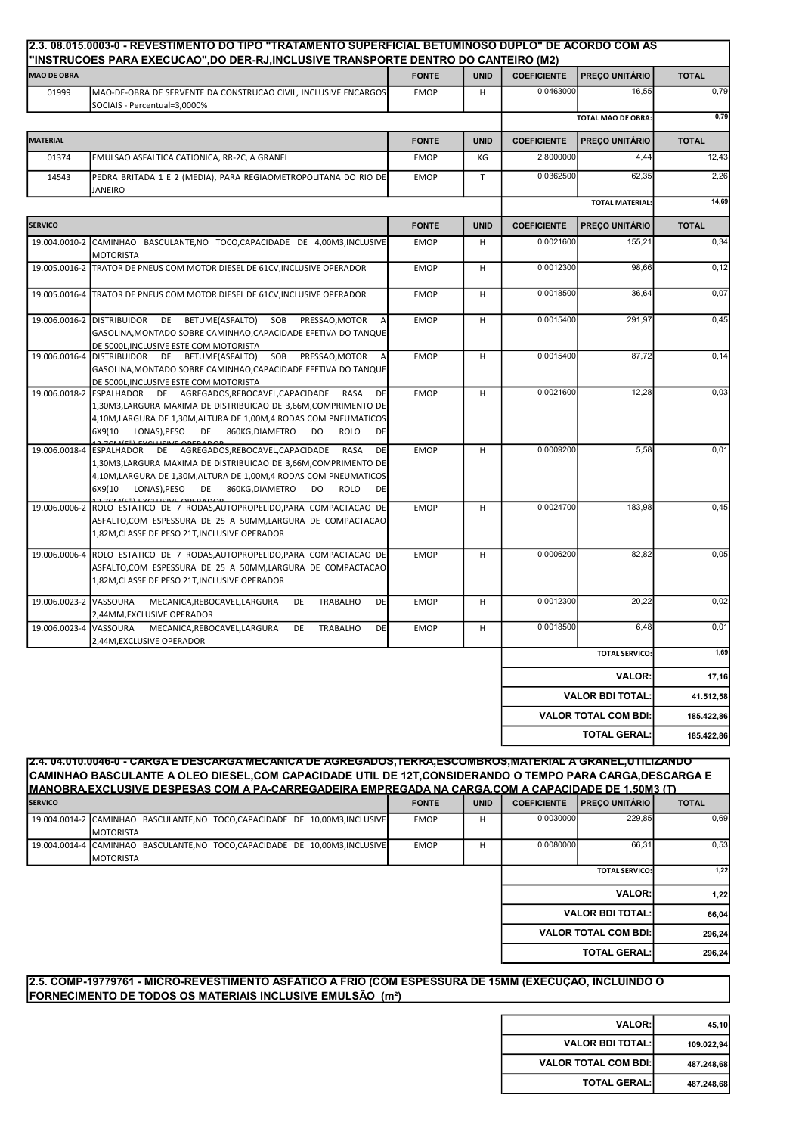| <b>MAO DE OBRA</b>     | "INSTRUCOES PARA EXECUCAO",DO DER-RJ,INCLUSIVE TRANSPORTE DENTRO DO CANTEIRO (M2)                                                                                                                                                                                                                  | <b>FONTE</b> | <b>UNID</b>  | <b>COEFICIENTE</b> | <b>PREÇO UNITÁRIO</b>       | <b>TOTAL</b> |
|------------------------|----------------------------------------------------------------------------------------------------------------------------------------------------------------------------------------------------------------------------------------------------------------------------------------------------|--------------|--------------|--------------------|-----------------------------|--------------|
| 01999                  | MAO-DE-OBRA DE SERVENTE DA CONSTRUCAO CIVIL, INCLUSIVE ENCARGOS<br>SOCIAIS - Percentual=3,0000%                                                                                                                                                                                                    | <b>EMOP</b>  | H            | 0,0463000          | 16,55                       | 0,79         |
|                        |                                                                                                                                                                                                                                                                                                    |              |              |                    | <b>TOTAL MAO DE OBRA:</b>   | 0,79         |
| MATERIAL               |                                                                                                                                                                                                                                                                                                    | <b>FONTE</b> | <b>UNID</b>  | <b>COEFICIENTE</b> | <b>PREÇO UNITÁRIO</b>       | <b>TOTAL</b> |
| 01374                  | EMULSAO ASFALTICA CATIONICA, RR-2C, A GRANEL                                                                                                                                                                                                                                                       | <b>EMOP</b>  | КG           | 2,8000000          | 4,44                        | 12,43        |
| 14543                  | PEDRA BRITADA 1 E 2 (MEDIA), PARA REGIAOMETROPOLITANA DO RIO DE<br><b>JANEIRO</b>                                                                                                                                                                                                                  | <b>EMOP</b>  | $\mathsf{T}$ | 0,0362500          | 62,35                       | 2,26         |
|                        |                                                                                                                                                                                                                                                                                                    |              |              |                    | <b>TOTAL MATERIAL</b>       | 14,69        |
| <b>SERVICO</b>         |                                                                                                                                                                                                                                                                                                    | <b>FONTE</b> | <b>UNID</b>  | <b>COEFICIENTE</b> | <b>PREÇO UNITÁRIO</b>       | <b>TOTAL</b> |
|                        | 19.004.0010-2 CAMINHAO BASCULANTE, NO TOCO, CAPACIDADE DE 4,00M3, INCLUSIVE<br><b>MOTORISTA</b>                                                                                                                                                                                                    | <b>EMOP</b>  | H            | 0,0021600          | 155,21                      | 0,34         |
|                        | 19.005.0016-2 TRATOR DE PNEUS COM MOTOR DIESEL DE 61CV, INCLUSIVE OPERADOR                                                                                                                                                                                                                         | <b>EMOP</b>  | H            | 0,0012300          | 98,66                       | 0,12         |
|                        | 19.005.0016-4 TRATOR DE PNEUS COM MOTOR DIESEL DE 61CV, INCLUSIVE OPERADOR                                                                                                                                                                                                                         | <b>EMOP</b>  | H            | 0,0018500          | 36,64                       | 0,07         |
|                        | BETUME(ASFALTO)<br>SOB<br>19.006.0016-2 DISTRIBUIDOR<br><b>DE</b><br>PRESSAO, MOTOR<br>GASOLINA, MONTADO SOBRE CAMINHAO, CAPACIDADE EFETIVA DO TANQUE<br>DE 5000L, INCLUSIVE ESTE COM MOTORISTA                                                                                                    | <b>EMOP</b>  | H            | 0,0015400          | 291,97                      | 0,45         |
|                        | 19.006.0016-4 DISTRIBUIDOR<br>DE BETUME(ASFALTO)<br>SOB PRESSAO, MOTOR<br>$\overline{A}$<br>GASOLINA, MONTADO SOBRE CAMINHAO, CAPACIDADE EFETIVA DO TANQUE<br>DE 5000L, INCLUSIVE ESTE COM MOTORISTA                                                                                               | <b>EMOP</b>  | H            | 0,0015400          | 87,72                       | 0, 14        |
|                        | 19.006.0018-2 ESPALHADOR DE AGREGADOS, REBOCAVEL, CAPACIDADE<br>DE<br>RASA<br>1,30M3,LARGURA MAXIMA DE DISTRIBUICAO DE 3,66M,COMPRIMENTO DE<br>4,10M,LARGURA DE 1,30M,ALTURA DE 1,00M,4 RODAS COM PNEUMATICOS<br>LONAS), PESO<br>DE 860KG, DIAMETRO<br><b>ROLO</b><br><b>DE</b><br>6X9(10<br>DO    | <b>EMOP</b>  | H            | 0,0021600          | 12,28                       | 0,03         |
|                        | 19.006.0018-4 ESPALHADOR DE AGREGADOS, REBOCAVEL, CAPACIDADE<br>RASA<br>DE<br>1,30M3,LARGURA MAXIMA DE DISTRIBUICAO DE 3,66M,COMPRIMENTO DE<br>4,10M,LARGURA DE 1,30M,ALTURA DE 1,00M,4 RODAS COM PNEUMATICOS<br>6X9(10<br>LONAS), PESO<br><b>DE</b><br>860KG, DIAMETRO<br>DO<br><b>ROLO</b><br>DE | <b>EMOP</b>  | н            | 0,0009200          | 5,58                        | 0,01         |
|                        | 19.006.0006-2 ROLO ESTATICO DE 7 RODAS, AUTOPROPELIDO, PARA COMPACTACAO DE<br>ASFALTO,COM ESPESSURA DE 25 A 50MM,LARGURA DE COMPACTACAO<br>1,82M, CLASSE DE PESO 21T, INCLUSIVE OPERADOR                                                                                                           | <b>EMOP</b>  | H            | 0,0024700          | 183,98                      | 0,45         |
|                        | 19.006.0006-4 ROLO ESTATICO DE 7 RODAS, AUTOPROPELIDO, PARA COMPACTACAO DE<br>ASFALTO,COM ESPESSURA DE 25 A 50MM,LARGURA DE COMPACTACAO<br>1,82M, CLASSE DE PESO 21T, INCLUSIVE OPERADOR                                                                                                           | <b>EMOP</b>  | H            | 0,0006200          | 82,82                       | 0,05         |
| 19.006.0023-2 VASSOURA | MECANICA, REBOCAVEL, LARGURA<br>DE<br><b>TRABALHO</b><br><b>DE</b><br>2,44MM, EXCLUSIVE OPERADOR                                                                                                                                                                                                   | <b>EMOP</b>  | H            | 0,0012300          | 20,22                       | 0,02         |
| 19.006.0023-4          | MECANICA, REBOCAVEL, LARGURA<br><b>TRABALHO</b><br><b>DE</b><br>VASSOURA<br>DE<br>2,44M, EXCLUSIVE OPERADOR                                                                                                                                                                                        | <b>EMOP</b>  | H            | 0,0018500          | 6,48                        | 0,01         |
|                        |                                                                                                                                                                                                                                                                                                    |              |              |                    | <b>TOTAL SERVICO:</b>       | 1,69         |
|                        |                                                                                                                                                                                                                                                                                                    |              |              |                    | <b>VALOR:</b>               | 17,16        |
|                        |                                                                                                                                                                                                                                                                                                    |              |              |                    | <b>VALOR BDI TOTAL:</b>     | 41.512,58    |
|                        |                                                                                                                                                                                                                                                                                                    |              |              |                    | <b>VALOR TOTAL COM BDI:</b> | 185.422,86   |
|                        |                                                                                                                                                                                                                                                                                                    |              |              |                    | <b>TOTAL GERAL:</b>         | 185.422,86   |

FONTE UNID COEFICIENTE PREÇO UNITÁRIO TOTAL 19.004.0014-2 CAMINHAO BASCULANTE,NO TOCO,CAPACIDADE DE 10,00M3,INCLUSIVE MOTORISTA EMOP H 0,0030000 229,85 0,69 19.004.0014-4 CAMINHAO BASCULANTE,NO TOCO,CAPACIDADE DE 10,00M3,INCLUSIVE MOTORISTA EMOP H | 0,0080000 66,31 0,53 1,22 1,22 66,04 296,24 296,24 TOTAL GERAL: 2.5. COMP-19779761 - MICRO-REVESTIMENTO ASFÁTICO A FRIO (COM ESPESSURA DE 15MM (EXECUÇÃO, INCLUINDO O TOTAL SERVICO: VALOR: VALOR BDI TOTAL: VALOR TOTAL COM BDI: 2.4. 04.010.0046-0 - CARGA E DESCARGA MECANICA DE AGREGADOS,TERRA,ESCOMBROS,MATERIAL A GRANEL,UTILIZANDO CAMINHAO BASCULANTE A OLEO DIESEL,COM CAPACIDADE UTIL DE 12T,CONSIDERANDO O TEMPO PARA CARGA,DESCARGA E MANOBRA,EXCLUSIVE DESPESAS COM A PA-CARREGADEIRA EMPREGADA NA CARGA,COM A CAPACIDADE DE 1,50M3 (T)

FORNECIMENTO DE TODOS OS MATERIAIS INCLUSIVE EMULSÃO (m²)

SERVICO

| <b>VALOR:</b>               | 45,10      |
|-----------------------------|------------|
| <b>VALOR BDI TOTAL:</b>     | 109.022,94 |
| <b>VALOR TOTAL COM BDI:</b> | 487.248,68 |
| <b>TOTAL GERAL:</b>         | 487.248,68 |